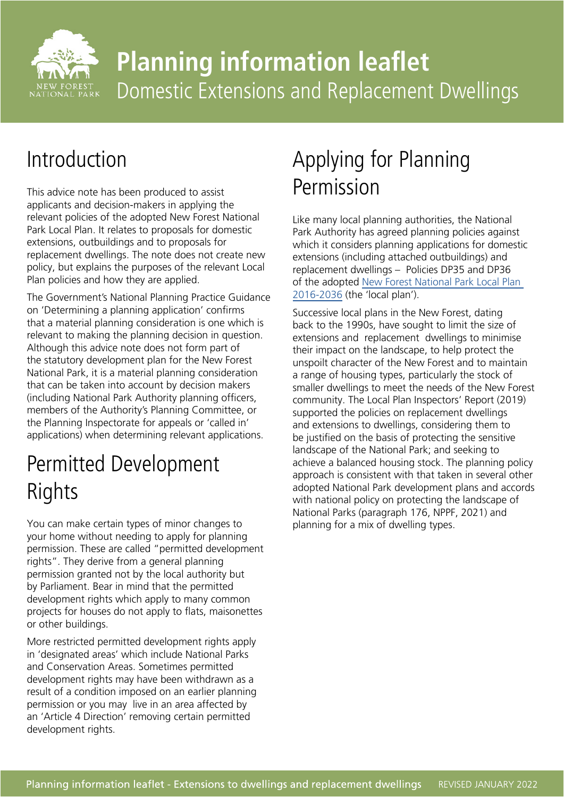

# **Planning information leaflet** Domestic Extensions and Replacement Dwellings

### Introduction

This advice note has been produced to assist applicants and decision-makers in applying the relevant policies of the adopted New Forest National Park Local Plan. It relates to proposals for domestic extensions, outbuildings and to proposals for replacement dwellings. The note does not create new policy, but explains the purposes of the relevant Local Plan policies and how they are applied.

The Government's National Planning Practice Guidance on 'Determining a planning application' confirms that a material planning consideration is one which is relevant to making the planning decision in question. Although this advice note does not form part of the statutory development plan for the New Forest National Park, it is a material planning consideration that can be taken into account by decision makers (including National Park Authority planning officers, members of the Authority's Planning Committee, or the Planning Inspectorate for appeals or 'called in' applications) when determining relevant applications.

# Permitted Development Rights

You can make certain types of minor changes to your home without needing to apply for planning permission. These are called "permitted development rights". They derive from a general planning permission granted not by the local authority but by Parliament. Bear in mind that the permitted development rights which apply to many common projects for houses do not apply to flats, maisonettes or other buildings.

More restricted permitted development rights apply in 'designated areas' which include National Parks and Conservation Areas. Sometimes permitted development rights may have been withdrawn as a result of a condition imposed on an earlier planning permission or you may live in an area affected by an 'Article 4 Direction' removing certain permitted development rights.

### Applying for Planning Permission

Like many local planning authorities, the National Park Authority has agreed planning policies against which it considers planning applications for domestic extensions (including attached outbuildings) and replacement dwellings – Policies DP35 and DP36 of the adopted [New Forest National Park Local Plan](http://www.newforestnpa.gov.uk/planning/local-plan/)  [2016-2036](http://www.newforestnpa.gov.uk/planning/local-plan/) (the 'local plan').

Successive local plans in the New Forest, dating back to the 1990s, have sought to limit the size of extensions and replacement dwellings to minimise their impact on the landscape, to help protect the unspoilt character of the New Forest and to maintain a range of housing types, particularly the stock of smaller dwellings to meet the needs of the New Forest community. The Local Plan Inspectors' Report (2019) supported the policies on replacement dwellings and extensions to dwellings, considering them to be justified on the basis of protecting the sensitive landscape of the National Park; and seeking to achieve a balanced housing stock. The planning policy approach is consistent with that taken in several other adopted National Park development plans and accords with national policy on protecting the landscape of National Parks (paragraph 176, NPPF, 2021) and planning for a mix of dwelling types.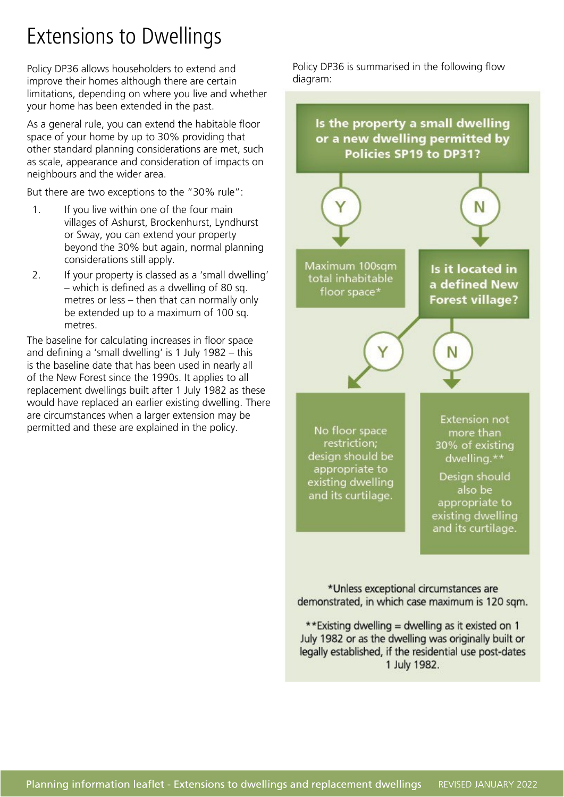# Extensions to Dwellings

Policy DP36 allows householders to extend and improve their homes although there are certain limitations, depending on where you live and whether your home has been extended in the past.

As a general rule, you can extend the habitable floor space of your home by up to 30% providing that other standard planning considerations are met, such as scale, appearance and consideration of impacts on neighbours and the wider area.

But there are two exceptions to the "30% rule":

- 1. If you live within one of the four main villages of Ashurst, Brockenhurst, Lyndhurst or Sway, you can extend your property beyond the 30% but again, normal planning considerations still apply.
- 2. If your property is classed as a 'small dwelling' – which is defined as a dwelling of 80 sq. metres or less – then that can normally only be extended up to a maximum of 100 sq. metres.

The baseline for calculating increases in floor space and defining a 'small dwelling' is 1 July 1982 – this is the baseline date that has been used in nearly all of the New Forest since the 1990s. It applies to all replacement dwellings built after 1 July 1982 as these would have replaced an earlier existing dwelling. There are circumstances when a larger extension may be permitted and these are explained in the policy.

Policy DP36 is summarised in the following flow diagram:



\*Unless exceptional circumstances are demonstrated, in which case maximum is 120 sqm.

\*\*Existing dwelling = dwelling as it existed on 1 July 1982 or as the dwelling was originally built or legally established, if the residential use post-dates 1 July 1982.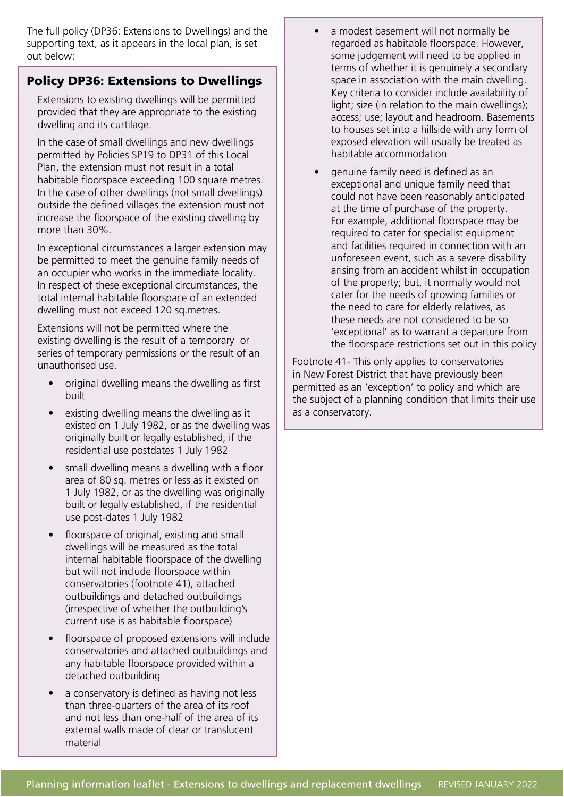The full policy (DP36: Extensions to Dwellings) and the supporting text, as it appears in the local plan, is set out below:

#### Policy DP36: Extensions to Dwellings

Extensions to existing dwellings will be permitted provided that they are appropriate to the existing dwelling and its curtilage.

In the case of small dwellings and new dwellings permitted by Policies SP19 to DP31 of this Local Plan, the extension must not result in a total habitable floorspace exceeding 100 square metres. In the case of other dwellings (not small dwellings) outside the defined villages the extension must not increase the floorspace of the existing dwelling by more than 30%.

In exceptional circumstances a larger extension may be permitted to meet the genuine family needs of an occupier who works in the immediate locality. In respect of these exceptional circumstances, the total internal habitable floorspace of an extended dwelling must not exceed 120 sq.metres.

Extensions will not be permitted where the existing dwelling is the result of a temporary or series of temporary permissions or the result of an unauthorised use.

- original dwelling means the dwelling as first built
- existing dwelling means the dwelling as it existed on 1 July 1982, or as the dwelling was originally built or legally established, if the residential use postdates 1 July 1982
- small dwelling means a dwelling with a floor area of 80 sq. metres or less as it existed on 1 July 1982, or as the dwelling was originally built or legally established, if the residential use post-dates 1 July 1982
- floorspace of original, existing and small dwellings will be measured as the total internal habitable floorspace of the dwelling but will not include floorspace within conservatories (footnote 41), attached outbuildings and detached outbuildings (irrespective of whether the outbuilding's current use is as habitable floorspace)
- floorspace of proposed extensions will include conservatories and attached outbuildings and any habitable floorspace provided within a detached outbuilding
- a conservatory is defined as having not less than three-quarters of the area of its roof and not less than one-half of the area of its external walls made of clear or translucent material
- a modest basement will not normally be regarded as habitable floorspace. However, some judgement will need to be applied in terms of whether it is genuinely a secondary space in association with the main dwelling. Key criteria to consider include availability of light; size (in relation to the main dwellings); access; use; layout and headroom. Basements to houses set into a hillside with any form of exposed elevation will usually be treated as habitable accommodation
- genuine family need is defined as an exceptional and unique family need that could not have been reasonably anticipated at the time of purchase of the property. For example, additional floorspace may be required to cater for specialist equipment and facilities required in connection with an unforeseen event, such as a severe disability arising from an accident whilst in occupation of the property; but, it normally would not cater for the needs of growing families or the need to care for elderly relatives, as these needs are not considered to be so 'exceptional' as to warrant a departure from the floorspace restrictions set out in this policy

Footnote 41- This only applies to conservatories in New Forest District that have previously been permitted as an 'exception' to policy and which are the subject of a planning condition that limits their use as a conservatory.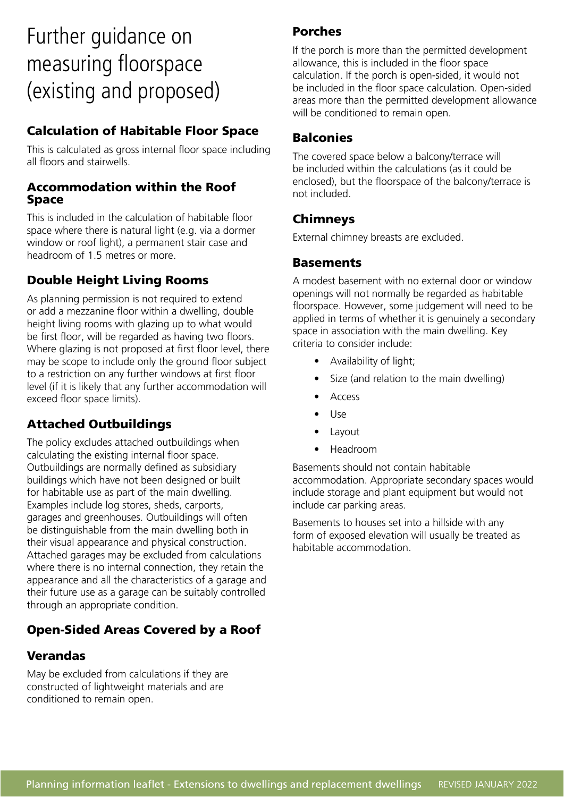### Further guidance on measuring floorspace (existing and proposed)

#### Calculation of Habitable Floor Space

This is calculated as gross internal floor space including all floors and stairwells.

#### Accommodation within the Roof Space

This is included in the calculation of habitable floor space where there is natural light (e.g. via a dormer window or roof light), a permanent stair case and headroom of 1.5 metres or more.

#### Double Height Living Rooms

As planning permission is not required to extend or add a mezzanine floor within a dwelling, double height living rooms with glazing up to what would be first floor, will be regarded as having two floors. Where glazing is not proposed at first floor level, there may be scope to include only the ground floor subject to a restriction on any further windows at first floor level (if it is likely that any further accommodation will exceed floor space limits).

#### Attached Outbuildings

The policy excludes attached outbuildings when calculating the existing internal floor space. Outbuildings are normally defined as subsidiary buildings which have not been designed or built for habitable use as part of the main dwelling. Examples include log stores, sheds, carports, garages and greenhouses. Outbuildings will often be distinguishable from the main dwelling both in their visual appearance and physical construction. Attached garages may be excluded from calculations where there is no internal connection, they retain the appearance and all the characteristics of a garage and their future use as a garage can be suitably controlled through an appropriate condition.

#### Open-Sided Areas Covered by a Roof

#### Verandas

May be excluded from calculations if they are constructed of lightweight materials and are conditioned to remain open.

#### Porches

If the porch is more than the permitted development allowance, this is included in the floor space calculation. If the porch is open-sided, it would not be included in the floor space calculation. Open-sided areas more than the permitted development allowance will be conditioned to remain open.

#### **Balconies**

The covered space below a balcony/terrace will be included within the calculations (as it could be enclosed), but the floorspace of the balcony/terrace is not included.

#### Chimneys

External chimney breasts are excluded.

#### **Basements**

A modest basement with no external door or window openings will not normally be regarded as habitable floorspace. However, some judgement will need to be applied in terms of whether it is genuinely a secondary space in association with the main dwelling. Key criteria to consider include:

- Availability of light;
- Size (and relation to the main dwelling)
- Access
- Use
- **Layout**
- Headroom

Basements should not contain habitable accommodation. Appropriate secondary spaces would include storage and plant equipment but would not include car parking areas.

Basements to houses set into a hillside with any form of exposed elevation will usually be treated as habitable accommodation.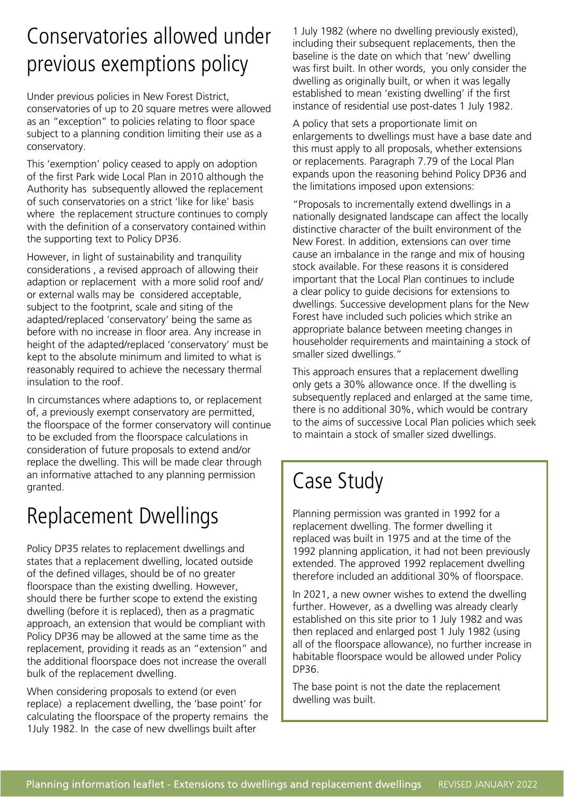### Conservatories allowed under previous exemptions policy

Under previous policies in New Forest District, conservatories of up to 20 square metres were allowed as an "exception" to policies relating to floor space subject to a planning condition limiting their use as a conservatory.

This 'exemption' policy ceased to apply on adoption of the first Park wide Local Plan in 2010 although the Authority has subsequently allowed the replacement of such conservatories on a strict 'like for like' basis where the replacement structure continues to comply with the definition of a conservatory contained within the supporting text to Policy DP36.

However, in light of sustainability and tranquility considerations , a revised approach of allowing their adaption or replacement with a more solid roof and/ or external walls may be considered acceptable, subject to the footprint, scale and siting of the adapted/replaced 'conservatory' being the same as before with no increase in floor area. Any increase in height of the adapted/replaced 'conservatory' must be kept to the absolute minimum and limited to what is reasonably required to achieve the necessary thermal insulation to the roof.

In circumstances where adaptions to, or replacement of, a previously exempt conservatory are permitted, the floorspace of the former conservatory will continue to be excluded from the floorspace calculations in consideration of future proposals to extend and/or replace the dwelling. This will be made clear through an informative attached to any planning permission granted.

### Replacement Dwellings

Policy DP35 relates to replacement dwellings and states that a replacement dwelling, located outside of the defined villages, should be of no greater floorspace than the existing dwelling. However, should there be further scope to extend the existing dwelling (before it is replaced), then as a pragmatic approach, an extension that would be compliant with Policy DP36 may be allowed at the same time as the replacement, providing it reads as an "extension" and the additional floorspace does not increase the overall bulk of the replacement dwelling.

When considering proposals to extend (or even replace) a replacement dwelling, the 'base point' for calculating the floorspace of the property remains the 1July 1982. In the case of new dwellings built after

1 July 1982 (where no dwelling previously existed), including their subsequent replacements, then the baseline is the date on which that 'new' dwelling was first built. In other words, you only consider the dwelling as originally built, or when it was legally established to mean 'existing dwelling' if the first instance of residential use post-dates 1 July 1982.

A policy that sets a proportionate limit on enlargements to dwellings must have a base date and this must apply to all proposals, whether extensions or replacements. Paragraph 7.79 of the Local Plan expands upon the reasoning behind Policy DP36 and the limitations imposed upon extensions:

"Proposals to incrementally extend dwellings in a nationally designated landscape can affect the locally distinctive character of the built environment of the New Forest. In addition, extensions can over time cause an imbalance in the range and mix of housing stock available. For these reasons it is considered important that the Local Plan continues to include a clear policy to guide decisions for extensions to dwellings. Successive development plans for the New Forest have included such policies which strike an appropriate balance between meeting changes in householder requirements and maintaining a stock of smaller sized dwellings."

This approach ensures that a replacement dwelling only gets a 30% allowance once. If the dwelling is subsequently replaced and enlarged at the same time, there is no additional 30%, which would be contrary to the aims of successive Local Plan policies which seek to maintain a stock of smaller sized dwellings.

### Case Study

Planning permission was granted in 1992 for a replacement dwelling. The former dwelling it replaced was built in 1975 and at the time of the 1992 planning application, it had not been previously extended. The approved 1992 replacement dwelling therefore included an additional 30% of floorspace.

In 2021, a new owner wishes to extend the dwelling further. However, as a dwelling was already clearly established on this site prior to 1 July 1982 and was then replaced and enlarged post 1 July 1982 (using all of the floorspace allowance), no further increase in habitable floorspace would be allowed under Policy DP36.

The base point is not the date the replacement dwelling was built.